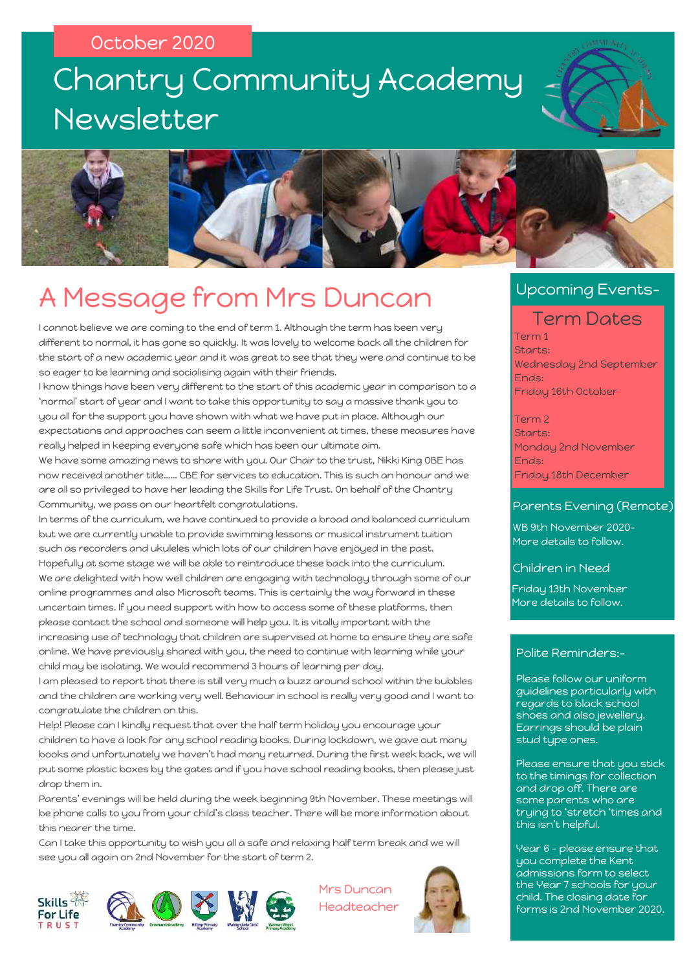# Newsletter Chantry Community Academy





### A Message from Mrs Duncan

I cannot believe we are coming to the end of term 1. Although the term has been very different to normal, it has gone so quickly. It was lovely to welcome back all the children for the start of a new academic year and it was great to see that they were and continue to be so eager to be learning and socialising again with their friends.

I know things have been very different to the start of this academic year in comparison to a 'normal' start of year and I want to take this opportunity to say a massive thank you to you all for the support you have shown with what we have put in place. Although our expectations and approaches can seem a little inconvenient at times, these measures have really helped in keeping everyone safe which has been our ultimate aim.

We have some amazing news to share with you. Our Chair to the trust, Nikki King OBE has now received another title…… CBE for services to education. This is such an honour and we are all so privileged to have her leading the Skills for Life Trust. On behalf of the Chantry Community, we pass on our heartfelt congratulations.

In terms of the curriculum, we have continued to provide a broad and balanced curriculum but we are currently unable to provide swimming lessons or musical instrument tuition such as recorders and ukuleles which lots of our children have enjoyed in the past. Hopefully at some stage we will be able to reintroduce these back into the curriculum. We are delighted with how well children are engaging with technology through some of our online programmes and also Microsoft teams. This is certainly the way forward in these uncertain times. If you need support with how to access some of these platforms, then please contact the school and someone will help you. It is vitally important with the increasing use of technology that children are supervised at home to ensure they are safe online. We have previously shared with you, the need to continue with learning while your child may be isolating. We would recommend 3 hours of learning per day.

I am pleased to report that there is still very much a buzz around school within the bubbles and the children are working very well. Behaviour in school is really very good and I want to congratulate the children on this.

Help! Please can I kindly request that over the half term holiday you encourage your children to have a look for any school reading books. During lockdown, we gave out many books and unfortunately we haven't had many returned. During the first week back, we will put some plastic boxes by the gates and if you have school reading books, then please just drop them in.

Parents' evenings will be held during the week beginning 9th November. These meetings will be phone calls to you from your child's class teacher. There will be more information about this nearer the time.

Can I take this opportunity to wish you all a safe and relaxing half term break and we will see you all again on 2nd November for the start of term 2.





Mrs Duncan Headteacher



#### Upcoming Events-

#### Term Dates

Term 1 Starts: Wednesday 2nd September Ends: Friday 16th October

Term 2 Starts: Monday 2nd November Ends: Friday 18th December

#### Parents Evening (Remote)

WB 9th November 2020- More details to follow.

Children in Need

Friday 13th November More details to follow.

#### Polite Reminders:-

Please follow our uniform guidelines particularly with regards to black school shoes and also jewellery. Earrings should be plain stud type ones.

Please ensure that you stick to the timings for collection and drop off. There are some parents who are trying to 'stretch 'times and this isn't helpful.

Year 6 – please ensure that you complete the Kent admissions form to select the Year 7 schools for your child. The closing date for forms is 2nd November 2020.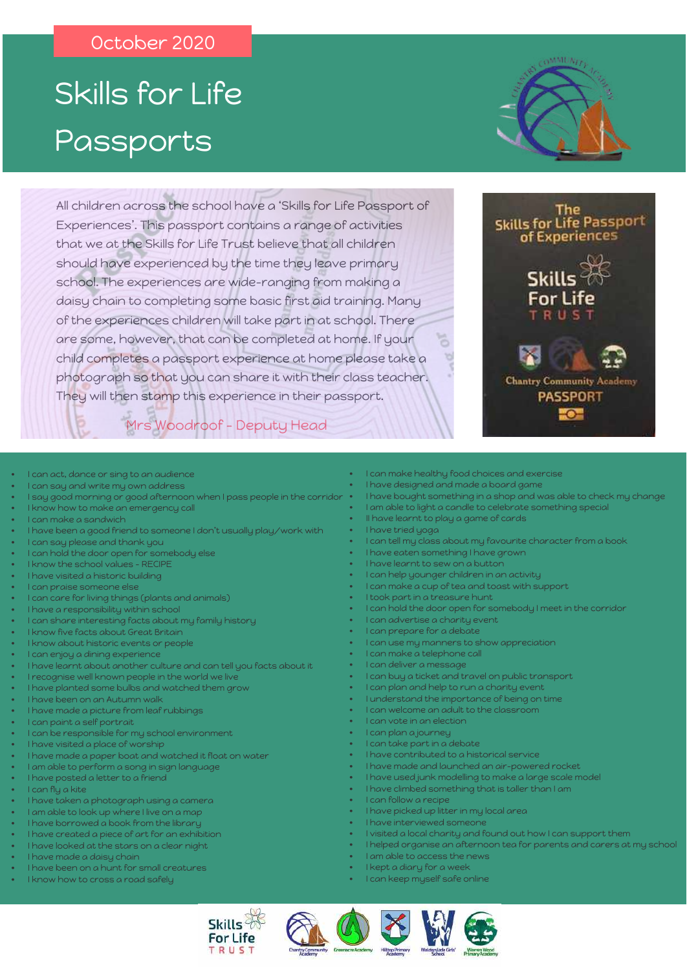# Passports Skills for Life

All children across the school have a 'Skills for Life Passport of Experiences'. This passport contains a range of activities that we at the Skills for Life Trust believe that all children should have experienced by the time they leave primary school. The experiences are wide-ranging from making a daisy chain to completing some basic first aid training. Many of the experiences children will take part in at school. There are some, however, that can be completed at home. If your child completes a passport experience at home please take a photograph so that you can share it with their class teacher. They will then stamp this experience in their passport.





- I can act, dance or sing to an audience
- I can say and write my own address
- I say good morning or good afternoon when I pass people in the corridor
- I know how to make an emergency call
- I can make a sandwich
- I have been a good friend to someone I don't usually play/work with
- I can say please and thank you
- I can hold the door open for somebody else
- I know the school values RECIPE
- I have visited a historic building
- I can praise someone else
- I can care for living things (plants and animals)
- I have a responsibility within school
- I can share interesting facts about my family history
- I know five facts about Great Britain
- I know about historic events or people
- I can enjoy a dining experience
- I have learnt about another culture and can tell you facts about it
- I recognise well known people in the world we live
- I have planted some bulbs and watched them grow
- I have been on an Autumn walk
- I have made a picture from leaf rubbings
- I can paint a self portrait
- I can be responsible for my school environment
- I have visited a place of worship
- I have made a paper boat and watched it float on water
- I am able to perform a song in sign language
- I have posted a letter to a friend
- I can fly a kite
- I have taken a photograph using a camera
- I am able to look up where I live on a map
- I have borrowed a book from the library
- I have created a piece of art for an exhibition
- I have looked at the stars on a clear night
- I have made a daisy chain
- I have been on a hunt for small creatures
- I know how to cross a road safely
- I can make healthy food choices and exercise
- I have designed and made a board game
- I have bought something in a shop and was able to check my change
- I am able to light a candle to celebrate something special
- II have learnt to play a game of cards
- I have tried yoga
- I can tell my class about my favourite character from a book
- I have eaten something I have grown
- I have learnt to sew on a button
- I can help younger children in an activity
- I can make a cup of tea and toast with support
- I took part in a treasure hunt
- I can hold the door open for somebody I meet in the corridor
- I can advertise a charity event
- I can prepare for a debate
- I can use my manners to show appreciation
- I can make a telephone call
- I can deliver a message
- I can buy a ticket and travel on public transport
- I can plan and help to run a charity event
- I understand the importance of being on time
- I can welcome an adult to the classroom
- I can vote in an election
- I can plan a journey
- I can take part in a debate
- I have contributed to a historical service
- I have made and launched an air-powered rocket
- I have used junk modelling to make a large scale model
- I have climbed something that is taller than I am
- I can follow a recipe
- I have picked up litter in my local area
	- I have interviewed someone
	- I visited a local charity and found out how I can support them
	- I helped organise an afternoon tea for parents and carers at my school
- I am able to access the news
- I kept a diary for a week
- I can keep myself safe online





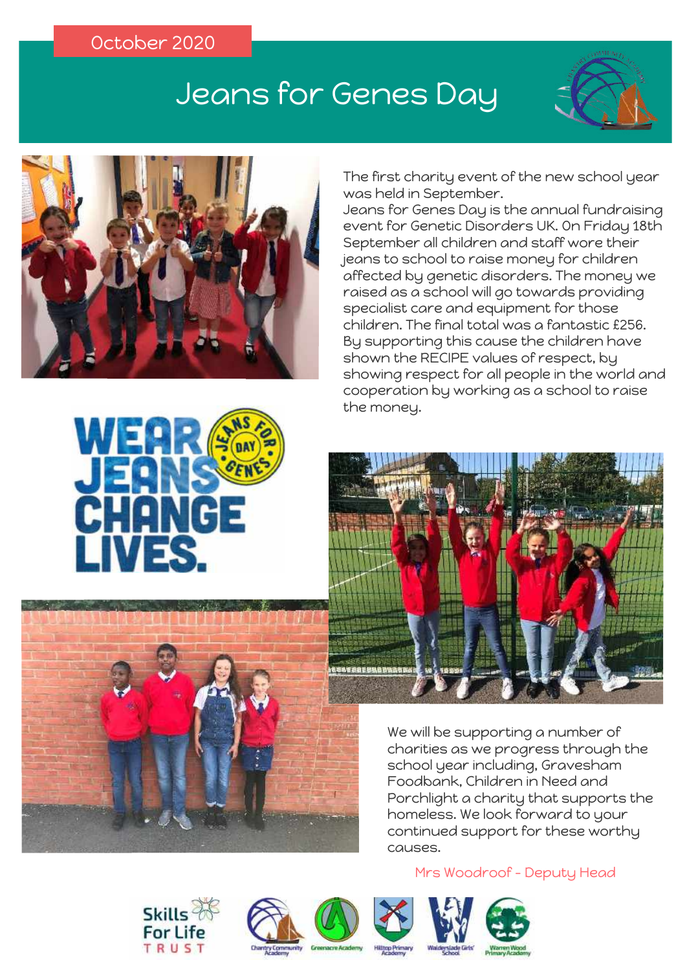# Jeans for Genes Day





The first charity event of the new school year was held in September.

Jeans for Genes Day is the annual fundraising event for Genetic Disorders UK. On Friday 18th September all children and staff wore their jeans to school to raise money for children affected by genetic disorders. The money we raised as a school will go towards providing specialist care and equipment for those children. The final total was a fantastic £256. By supporting this cause the children have shown the RECIPE values of respect, by showing respect for all people in the world and cooperation by working as a school to raise the money.



We will be supporting a number of charities as we progress through the school year including, Gravesham Foodbank, Children in Need and Porchlight a charity that supports the homeless. We look forward to your continued support for these worthy causes.

#### Mrs Woodroof - Deputy Head













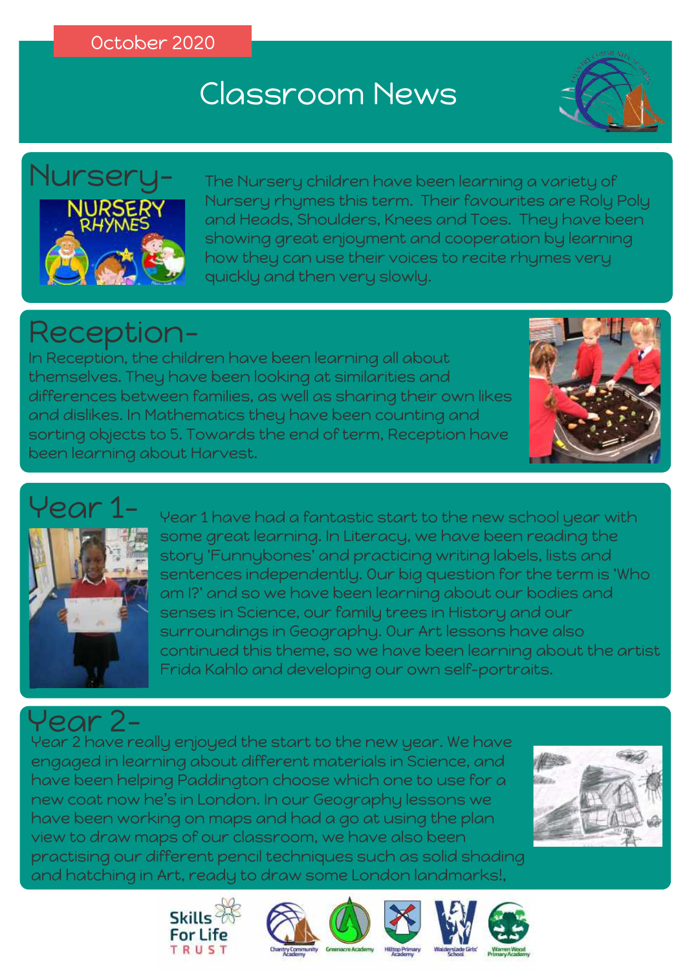# Classroom News





The Nursery children have been learning a variety of Nursery rhymes this term. Their favourites are Roly Poly and Heads, Shoulders, Knees and Toes. They have been showing great enjoyment and cooperation by learning how they can use their voices to recite rhymes very quickly and then very slowly.

# Reception-

In Reception, the children have been learning all about themselves. They have been looking at similarities and differences between families, as well as sharing their own likes and dislikes. In Mathematics they have been counting and sorting objects to 5. Towards the end of term, Reception have been learning about Harvest.



# $\sqrt{\rho}$ ar



Year 1 have had a fantastic start to the new school year with some great learning. In Literacy, we have been reading the story 'Funnybones' and practicing writing labels, lists and sentences independently. Our big question for the term is 'Who am I?' and so we have been learning about our bodies and senses in Science, our family trees in History and our surroundings in Geography. Our Art lessons have also continued this theme, so we have been learning about the artist Frida Kahlo and developing our own self-portraits.

### Year 2-

Year 2 have really enjoyed the start to the new year. We have engaged in learning about different materials in Science, and have been helping Paddington choose which one to use for a new coat now he's in London. In our Geography lessons we have been working on maps and had a go at using the plan view to draw maps of our classroom, we have also been practising our different pencil techniques such as solid shading and hatching in Art, ready to draw some London landmarks!,











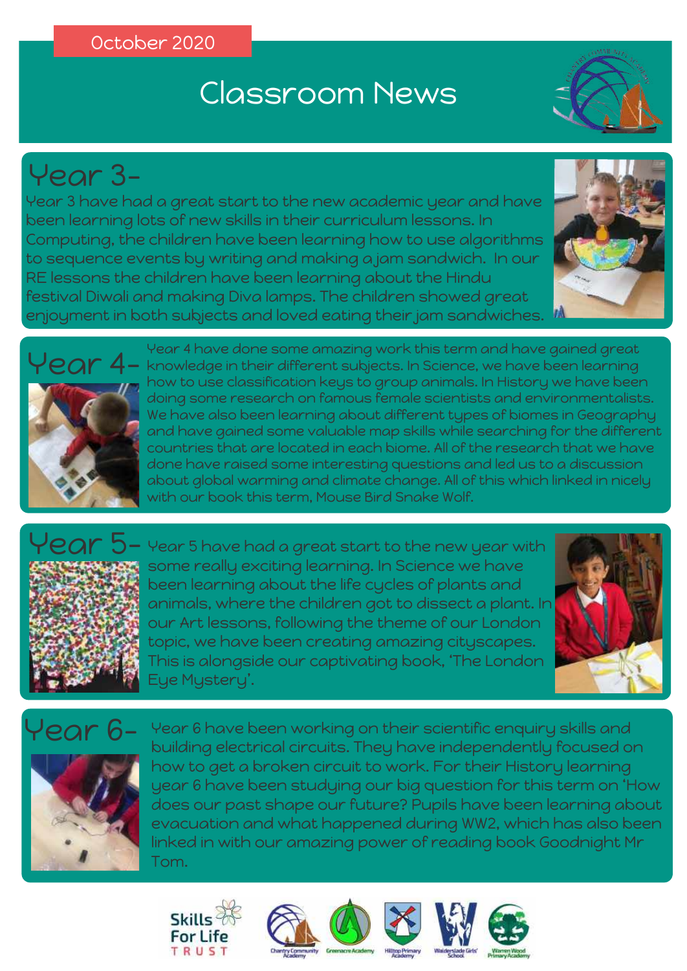# Classroom News



# Year 3-

Year 3 have had a great start to the new academic year and have been learning lots of new skills in their curriculum lessons. In Computing, the children have been learning how to use algorithms to sequence events by writing and making a jam sandwich. In our RE lessons the children have been learning about the Hindu festival Diwali and making Diva lamps. The children showed great enjoyment in both subjects and loved eating their jam sandwiches.





Year 4 have done some amazing work this term and have gained great knowledge in their different subjects. In Science, we have been learning how to use classification keys to group animals. In History we have been doing some research on famous female scientists and environmentalists. We have also been learning about different types of biomes in Geography and have gained some valuable map skills while searching for the different countries that are located in each biome. All of the research that we have done have raised some interesting questions and led us to a discussion about global warming and climate change. All of this which linked in nicely with our book this term, Mouse Bird Snake Wolf.



Year 5 have had a great start to the new year with some really exciting learning. In Science we have been learning about the life cycles of plants and animals, where the children got to dissect a plant. In our Art lessons, following the theme of our London topic, we have been creating amazing cityscapes. This is alongside our captivating book, 'The London Eye Mystery'.



Year 6



Year 6 have been working on their scientific enquiry skills and building electrical circuits. They have independently focused on how to get a broken circuit to work. For their History learning year 6 have been studying our big question for this term on 'How does our past shape our future? Pupils have been learning about evacuation and what happened during WW2, which has also been linked in with our amazing power of reading book Goodnight Mr Tom.







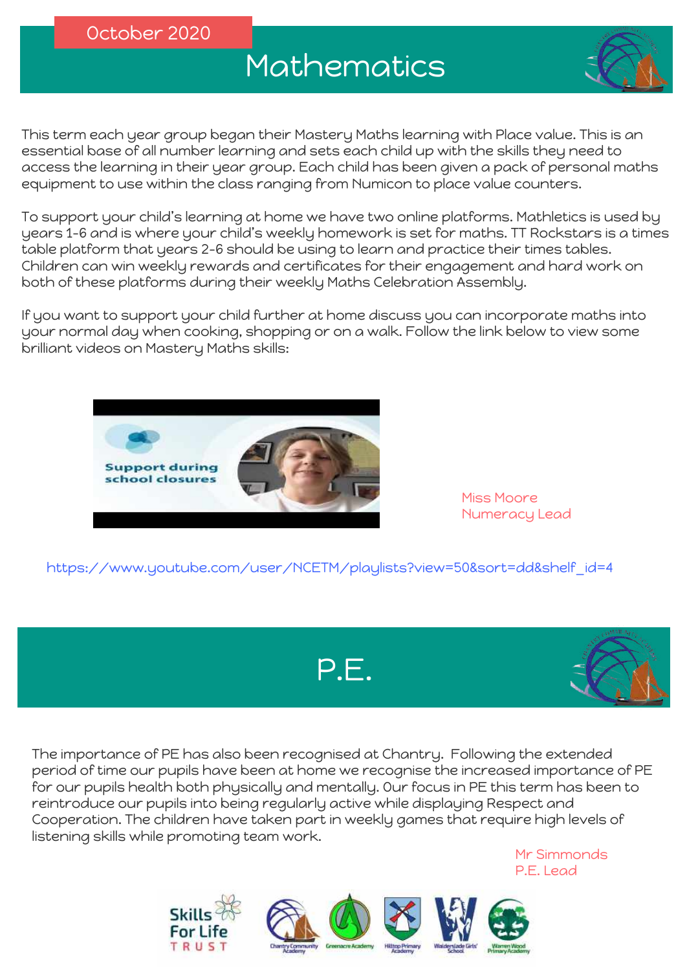# Mathematics



This term each year group began their Mastery Maths learning with Place value. This is an essential base of all number learning and sets each child up with the skills they need to access the learning in their year group. Each child has been given a pack of personal maths equipment to use within the class ranging from Numicon to place value counters.

To support your child's learning at home we have two online platforms. Mathletics is used by years 1-6 and is where your child's weekly homework is set for maths. TT Rockstars is a times table platform that years 2-6 should be using to learn and practice their times tables. Children can win weekly rewards and certificates for their engagement and hard work on both of these platforms during their weekly Maths Celebration Assembly.

If you want to support your child further at home discuss you can incorporate maths into your normal day when cooking, shopping or on a walk. Follow the link below to view some brilliant videos on Mastery Maths skills:



Miss Moore Numeracy Lead

https://www.youtube.com/user/NCETM/playlists?view=50&sort=dd&shelf\_id=4





The importance of PE has also been recognised at Chantry. Following the extended period of time our pupils have been at home we recognise the increased importance of PE for our pupils health both physically and mentally. Our focus in PE this term has been to reintroduce our pupils into being regularly active while displaying Respect and Cooperation. The children have taken part in weekly games that require high levels of listening skills while promoting team work.



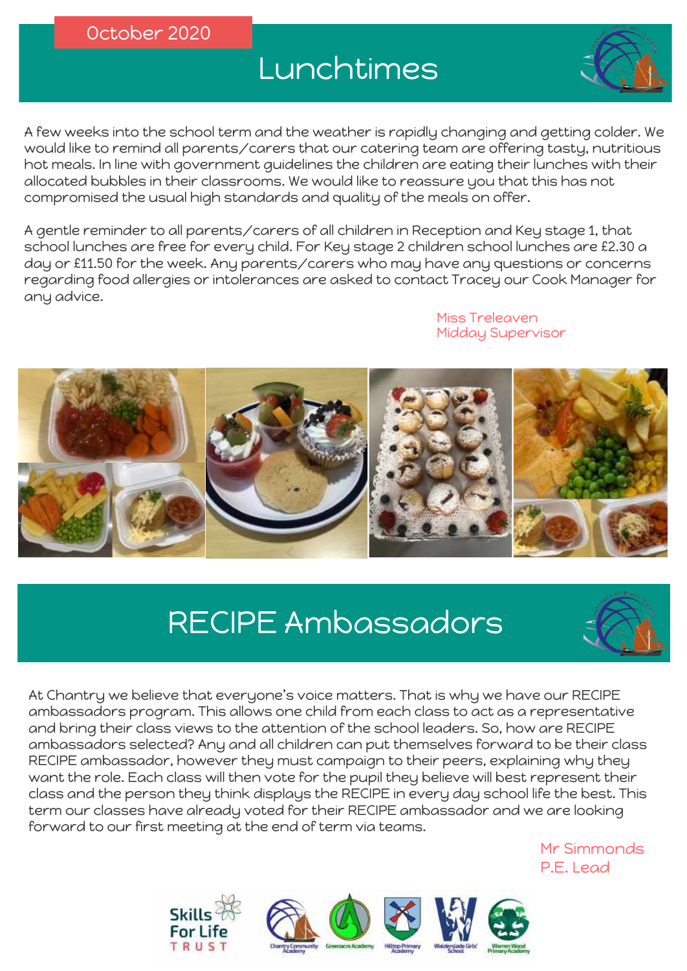# Lunchtimes

A few weeks into the school term and the weather is rapidly changing and getting colder. We would like to remind all parents/carers that our catering team are offering tasty, nutritious hot meals. In line with government guidelines the children are eating their lunches with their allocated bubbles in their classrooms. We would like to reassure you that this has not compromised the usual high standards and quality of the meals on offer.

A gentle reminder to all parents/carers of all children in Reception and Key stage 1, that school lunches are free for every child. For Key stage 2 children school lunches are £2.30 a day or £11.50 for the week. Any parents/carers who may have any questions or concerns regarding food allergies or intolerances are asked to contact Tracey our Cook Manager for any advice.

> Miss Treleaven Midday Supervisor



# RECIPE Ambassadors



At Chantry we believe that everyone's voice matters. That is why we have our RECIPE ambassadors program. This allows one child from each class to act as a representative and bring their class views to the attention of the school leaders. So, how are RECIPE ambassadors selected? Any and all children can put themselves forward to be their class RECIPE ambassador, however they must campaign to their peers, explaining why they want the role. Each class will then vote for the pupil they believe will best represent their class and the person they think displays the RECIPE in every day school life the best. This term our classes have already voted for their RECIPE ambassador and we are looking forward to our first meeting at the end of term via teams.





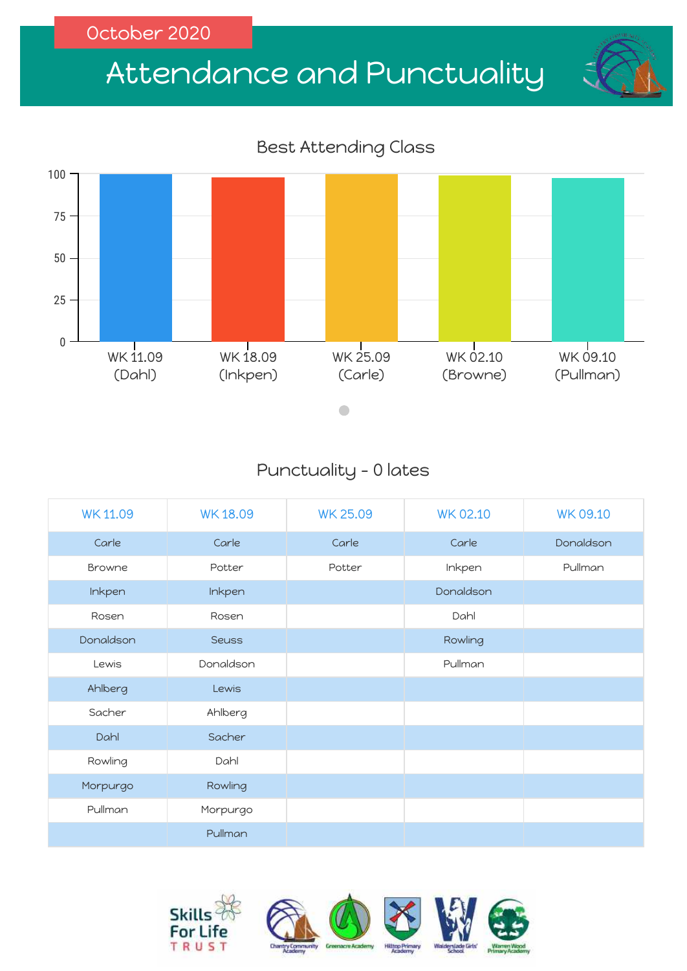# Attendance and Punctuality

#### Best Attending Class



### Punctuality - 0 lates

| <b>WK11.09</b> | <b>WK18.09</b> | <b>WK 25.09</b> | <b>WK 02.10</b> | <b>WK 09.10</b> |
|----------------|----------------|-----------------|-----------------|-----------------|
| Carle          | Carle          | Carle           | Carle           | Donaldson       |
| Browne         | Potter         | Potter          | Inkpen          | Pullman         |
| Inkpen         | Inkpen         |                 | Donaldson       |                 |
| Rosen          | Rosen          |                 | Dahl            |                 |
| Donaldson      | <b>Seuss</b>   |                 | Rowling         |                 |
| Lewis          | Donaldson      |                 | Pullman         |                 |
| Ahlberg        | Lewis          |                 |                 |                 |
| Sacher         | Ahlberg        |                 |                 |                 |
| Dahl           | Sacher         |                 |                 |                 |
| Rowling        | Dahl           |                 |                 |                 |
| Morpurgo       | Rowling        |                 |                 |                 |
| Pullman        | Morpurgo       |                 |                 |                 |
|                | Pullman        |                 |                 |                 |

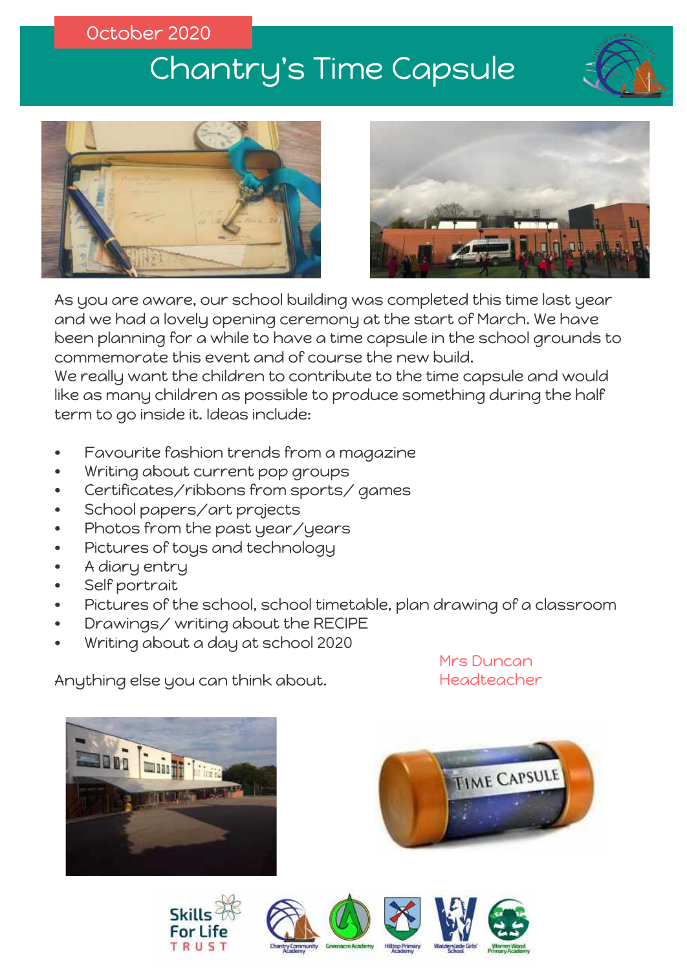# Chantry's Time Capsule







and we had a lovely opening ceremony at the start of March. We have<br>been planning for a while to have a time cansule in the school grounds As you are aware, our school building was completed this time last year been planning for a while to have a time capsule in the school grounds to commemorate this event and of course the new build. We really want the children to contribute to the time capsule and would

like as many children as possible to produce something during the half<br>term to ao inside it. Ideas include: term to go inside it. Ideas include:

- Favourite fashion trends from a magazine
- Writing about current pop groups
- Certificates/ribbons from sports/ games
- School papers/art projects
- Photos from the past year/years
- Pictures of toys and technology
- A diary entry
- Self portrait
- Pictures of the school, school timetable, plan drawing of a classroom
- Drawings/ writing about the RECIPE
- Writing about a day at school 2020

Anything else you can think about.

Mrs Duncan Headteacher













**TIME CAPSULE**